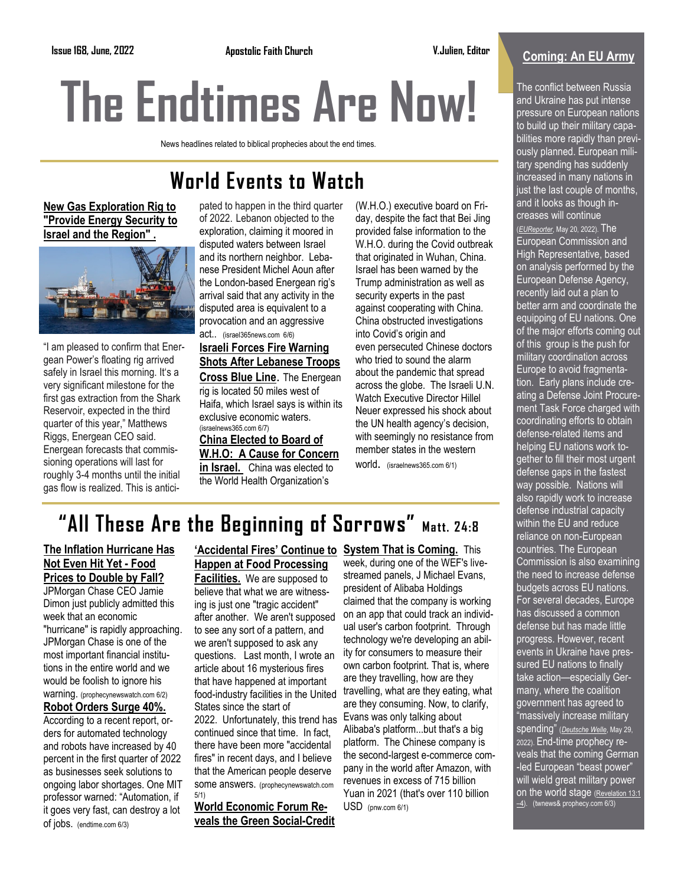# **The Endtimes Are Now!**

News headlines related to biblical prophecies about the end times.

## **World Events to Watch**

#### **[New Gas Exploration Rig to](https://israel365.lt.acemlnc.com/Prod/link-tracker?redirectUrl=aHR0cHMlM0ElMkYlMkZ3d3cuaXNyYWVsMzY1bmV3cy5jb20lMkYyNzAwNjAlMkZuZXctZ2FzLWV4cGxvcmF0aW9uLXJpZy10by1wcm92aWRlLWVuZXJneS1zZWN1cml0eS10by1pc3JhZWwtYW5kLXRoZS1yZWdpb24lMkYlM0Z1dG1fc291cmNlJTNEQWN0aXZl)  ["Provide Energy Security to](https://israel365.lt.acemlnc.com/Prod/link-tracker?redirectUrl=aHR0cHMlM0ElMkYlMkZ3d3cuaXNyYWVsMzY1bmV3cy5jb20lMkYyNzAwNjAlMkZuZXctZ2FzLWV4cGxvcmF0aW9uLXJpZy10by1wcm92aWRlLWVuZXJneS1zZWN1cml0eS10by1pc3JhZWwtYW5kLXRoZS1yZWdpb24lMkYlM0Z1dG1fc291cmNlJTNEQWN0aXZl)  [Israel and the Region"](https://israel365.lt.acemlnc.com/Prod/link-tracker?redirectUrl=aHR0cHMlM0ElMkYlMkZ3d3cuaXNyYWVsMzY1bmV3cy5jb20lMkYyNzAwNjAlMkZuZXctZ2FzLWV4cGxvcmF0aW9uLXJpZy10by1wcm92aWRlLWVuZXJneS1zZWN1cml0eS10by1pc3JhZWwtYW5kLXRoZS1yZWdpb24lMkYlM0Z1dG1fc291cmNlJTNEQWN0aXZl) .**



"I am pleased to confirm that Energean Power's floating rig arrived safely in Israel this morning. It's a very significant milestone for the first gas extraction from the Shark Reservoir, expected in the third quarter of this year," Matthews Riggs, Energean CEO said. Energean forecasts that commissioning operations will last for roughly 3-4 months until the initial gas flow is realized. This is anticipated to happen in the third quarter of 2022. Lebanon objected to the exploration, claiming it moored in disputed waters between Israel and its northern neighbor. Lebanese President Michel Aoun after the London-based Energean rig's arrival said that any activity in the disputed area is equivalent to a provocation and an aggressive act.. (israel365news.com 6/6) **[Israeli Forces Fire Warning](https://israel365.lt.acemlnc.com/Prod/link-tracker?redirectUrl=aHR0cHMlM0ElMkYlMkZ3d3cuaXNyYWVsMzY1bmV3cy5jb20lMkYyNzAwOTAlMkZpc3JhZWxpLWZvcmNlcy1maXJlLXdhcm5pbmctc2hvdHMtYWZ0ZXItbGViYW5lc2UtdHJvb3BzLWNyb3NzLWJsdWUtbGluZSUyRiUzRnV0bV9zb3VyY2UlM0RBY3RpdmVDYW1w)** 

#### **[Shots After Lebanese Troops](https://israel365.lt.acemlnc.com/Prod/link-tracker?redirectUrl=aHR0cHMlM0ElMkYlMkZ3d3cuaXNyYWVsMzY1bmV3cy5jb20lMkYyNzAwOTAlMkZpc3JhZWxpLWZvcmNlcy1maXJlLXdhcm5pbmctc2hvdHMtYWZ0ZXItbGViYW5lc2UtdHJvb3BzLWNyb3NzLWJsdWUtbGluZSUyRiUzRnV0bV9zb3VyY2UlM0RBY3RpdmVDYW1w)  [Cross Blue Line](https://israel365.lt.acemlnc.com/Prod/link-tracker?redirectUrl=aHR0cHMlM0ElMkYlMkZ3d3cuaXNyYWVsMzY1bmV3cy5jb20lMkYyNzAwOTAlMkZpc3JhZWxpLWZvcmNlcy1maXJlLXdhcm5pbmctc2hvdHMtYWZ0ZXItbGViYW5lc2UtdHJvb3BzLWNyb3NzLWJsdWUtbGluZSUyRiUzRnV0bV9zb3VyY2UlM0RBY3RpdmVDYW1w)**. The Energean rig is located 50 miles west of Haifa, which Israel says is within its exclusive economic waters. (israelnews365.com 6/7)

## **China Elected to Board of**

**W.H.O: A Cause for Concern in Israel.** China was elected to the World Health Organization's

(W.H.O.) executive board on Friday, despite the fact that Bei Jing provided [false information](https://www.breitbart.com/politics/2020/03/22/who-covers-for-china-amid-virus-outbreak-not-contagious-among-humans/) to the W.H.O. during the Covid outbreak that originated in Wuhan, China. Israel has been warned by the Trump administration as well as security experts in the past against cooperating with China. China [obstructed](https://www.breitbart.com/national-security/2021/03/18/report-china-total-control-w-h-o-investigation-wuhan/) investigations into Covid's origin and even [persecuted](https://www.breitbart.com/national-security/2020/03/30/australian-report-wuhan-whistleblower-dr-ai-fen-has-disappeared/) Chinese doctors who tried to sound the alarm about the pandemic that spread across the globe. The Israeli [U.N.](https://unwatch.org/)  [Watch](https://unwatch.org/) Executive Director Hillel Neuer expressed his shock about the UN health agency's decision, with seemingly no resistance from member states in the western

world. (israelnews365.com 6/1)

## **"All These Are the Beginning of Sorrows" Matt. 24:8**

#### **The Inflation Hurricane Has Not Even Hit Yet - Food Prices to Double by Fall?**

JPMorgan Chase CEO Jamie Dimon just publicly admitted this week that an economic "hurricane" is rapidly approaching. JPMorgan Chase is one of the most important financial institutions in the entire world and we would be foolish to ignore his warning. (prophecynewswatch.com 6/2)

#### **Robot Orders Surge 40%.**

According to a recent report, orders for automated technology and robots have increased by 40 percent in the first quarter of 2022 as businesses seek solutions to ongoing labor shortages. One MIT professor warned: "Automation, if it goes very fast, can destroy a lot of jobs. (endtime.com 6/3)

#### **'Accidental Fires' Continue to System That is Coming.** This **Happen at Food Processing**

**Facilities.** We are supposed to believe that what we are witnessing is just one "tragic accident" after another. We aren't supposed to see any sort of a pattern, and we aren't supposed to ask any questions. Last month, I wrote an article about 16 mysterious fires that have happened at important food-industry facilities in the United States since the start of 2022. Unfortunately, this trend has continued since that time. In fact, there have been more "accidental fires" in recent days, and I believe that the American people deserve some answers. (prophecynewswatch.com 5/1)

**World Economic Forum Reveals the Green Social-Credit**  week, during one of the WEF's livestreamed panels, J Michael Evans, president of Alibaba Holdings claimed that the company is working on an app that could track an individual user's carbon footprint. Through technology we're developing an ability for consumers to measure their own carbon footprint. That is, where are they travelling, how are they travelling, what are they eating, what are they consuming. Now, to clarify, Evans was only talking about Alibaba's platform...but that's a big platform. The Chinese company is the second-largest e-commerce company in the world after Amazon, with revenues in excess of 715 billion Yuan in 2021 (that's over 110 billion USD (pnw.com 6/1)

### **Coming: An EU Army**

The conflict between Russia and Ukraine has put intense pressure on European nations to build up their military capabilities more rapidly than previously planned. European military spending has suddenly increased in many nations in just the last couple of months, and it looks as though increases will continue (*[EUReporter](https://clicks.aweber.com/y/ct/?l=HmZFQ&m=3kT4l5BNjWUGArj&b=82fmpxNKcO5OSJTbv1dl9Q)*, May 20, 2022). The European Commission and High Representative, based on analysis performed by the European Defense Agency, recently laid out a plan to better arm and coordinate the equipping of EU nations. One of the major efforts coming out of this group is the push for military coordination across Europe to avoid fragmentation. Early plans include creating a Defense Joint Procurement Task Force charged with coordinating efforts to obtain defense-related items and helping EU nations work together to fill their most urgent defense gaps in the fastest way possible. Nations will also rapidly work to increase defense industrial capacity within the EU and reduce reliance on non-European countries. The European Commission is also examining the need to increase defense budgets across EU nations. For several decades, Europe has discussed a common defense but has made little progress. However, recent events in Ukraine have pressured EU nations to finally take action—especially Germany, where the coalition government has agreed to "massively increase military spending" (*[Deutsche Welle](https://clicks.aweber.com/y/ct/?l=HmZFQ&m=3kT4l5BNjWUGArj&b=GXAvYkgYYNtlR.Xzquik9w)*, May 29, 2022). End-time prophecy reveals that the coming German -led European "beast power" will wield great military power on the world stage [\(Revelation 13:1](https://clicks.aweber.com/y/ct/?l=HmZFQ&m=3kT4l5BNjWUGArj&b=YpOgVuxqaaVWa5yGl5ebLQ)  $\frac{-4}{-4}$ . (twnews& prophecy.com 6/3)